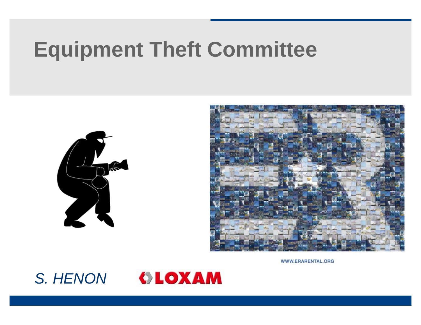# **Equipment Theft Committee**





WWW.ERARENTAL.ORG



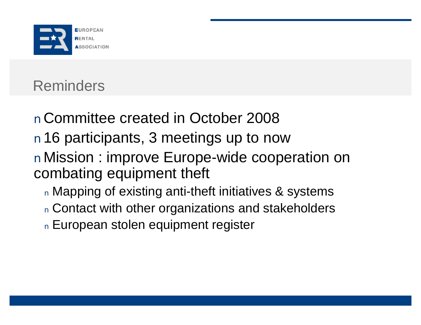

## Reminders

nCommittee created in October 2008 n16 participants, 3 meetings up to now nMission : improve Europe-wide cooperation on combating equipment theft <sup>n</sup> Mapping of existing anti-theft initiatives & systems

n Contact with other organizations and stakeholders <sup>n</sup> European stolen equipment register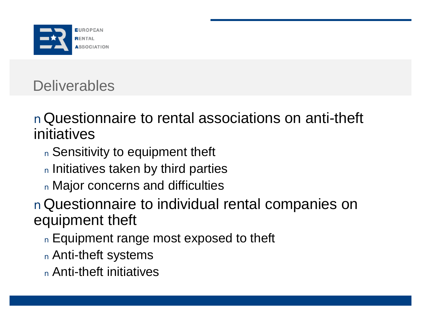

## **Deliverables**

nQuestionnaire to rental associations on anti-theft initiatives

<sup>n</sup> Sensitivity to equipment theft

<sup>n</sup> Initiatives taken by third parties

<sup>n</sup> Major concerns and difficulties

nQuestionnaire to individual rental companies on equipment theft

n Equipment range most exposed to theft

<sup>n</sup> Anti-theft systems

<sup>n</sup> Anti-theft initiatives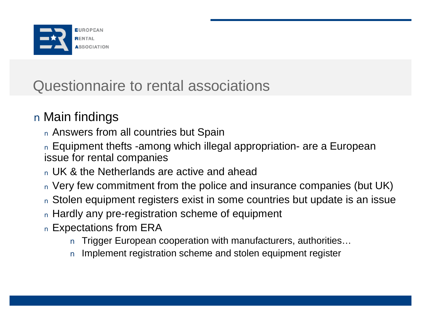

### Questionnaire to rental associations

#### n Main findings

- <sup>n</sup> Answers from all countries but Spain
- n Equipment thefts -among which illegal appropriation- are a European issue for rental companies
- <sup>n</sup> UK & the Netherlands are active and ahead
- <sup>n</sup> Very few commitment from the police and insurance companies (but UK)
- <sup>n</sup> Stolen equipment registers exist in some countries but update is an issue
- <sup>n</sup> Hardly any pre-registration scheme of equipment
- <sup>n</sup> Expectations from ERA
	- n Trigger European cooperation with manufacturers, authorities...
	- n Implement registration scheme and stolen equipment register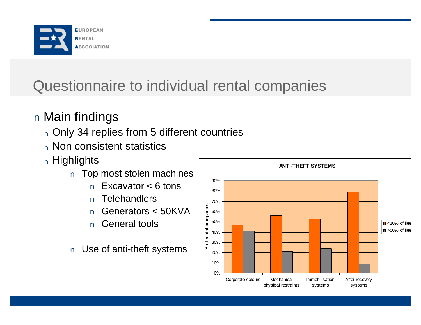

## Questionnaire to individual rental companies

#### n Main findings

- <sup>n</sup> Only 34 replies from 5 different countries
- <sup>n</sup> Non consistent statistics
- <sup>n</sup> Highlights
	- n Top most stolen machines
		- n Excavator < 6 tons
		- n Telehandlers
		- n Generators < 50KVA
		- n General tools
	- n Use of anti-theft systems

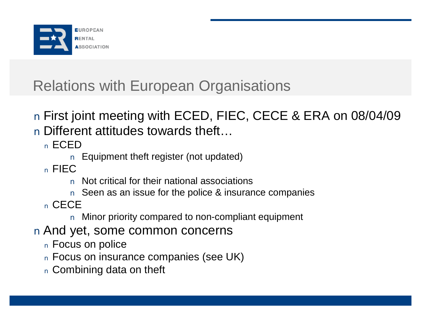

## Relations with European Organisations

n First joint meeting with ECED, FIEC, CECE & ERA on 08/04/09 n Different attitudes towards theft…

<sup>n</sup> ECED

n Equipment theft register (not updated)

<sup>n</sup> FIEC

- n Not critical for their national associations
- n Seen as an issue for the police & insurance companies

<sup>n</sup> CECE

n Minor priority compared to non-compliant equipment

- n And yet, some common concerns
	- <sup>n</sup> Focus on police
	- <sup>n</sup> Focus on insurance companies (see UK)
	- <sup>n</sup> Combining data on theft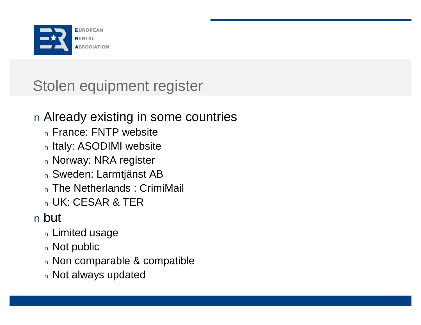

## Stolen equipment register

#### n Already existing in some countries

- <sup>n</sup> France: FNTP website
- <sup>n</sup> Italy: ASODIMI website
- <sup>n</sup> Norway: NRA register
- <sup>n</sup> Sweden: Larmtjänst AB
- <sup>n</sup> The Netherlands : CrimiMail
- <sup>n</sup> UK: CESAR & TER

#### n but

- <sup>n</sup> Limited usage
- <sup>n</sup> Not public
- <sup>n</sup> Non comparable & compatible
- <sup>n</sup> Not always updated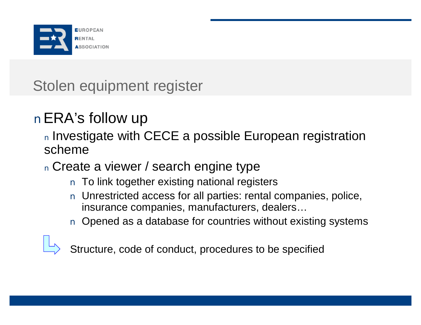

Stolen equipment register

## nERA's follow up

<sup>n</sup> Investigate with CECE a possible European registration scheme

<sup>n</sup> Create a viewer / search engine type

- n To link together existing national registers
- n Unrestricted access for all parties: rental companies, police, insurance companies, manufacturers, dealers…
- n Opened as a database for countries without existing systems



Structure, code of conduct, procedures to be specified